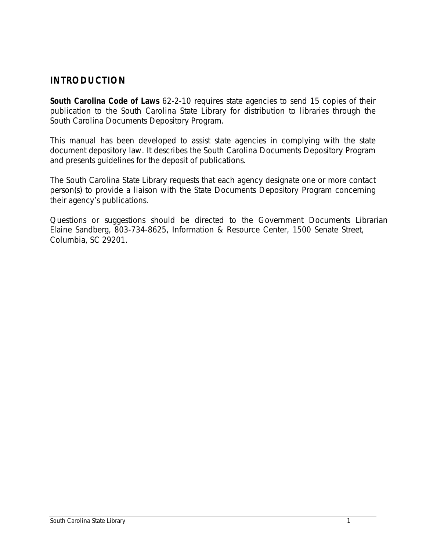# **INTRODUCTION**

**South Carolina Code of Laws** 62-2-10 requires state agencies to send 15 copies of their publication to the South Carolina State Library for distribution to libraries through the South Carolina Documents Depository Program.

This manual has been developed to assist state agencies in complying with the state document depository law. It describes the South Carolina Documents Depository Program and presents guidelines for the deposit of publications.

The South Carolina State Library requests that each agency designate one or more contact person(s) to provide a liaison with the State Documents Depository Program concerning their agency's publications.

Questions or suggestions should be directed to the Government Documents Librarian Elaine Sandberg, 803-734-8625, Information & Resource Center, 1500 Senate Street, Columbia, SC 29201.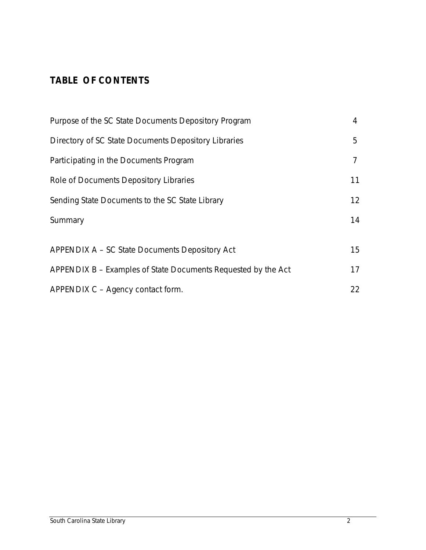# **TABLE OF CONTENTS**

| Purpose of the SC State Documents Depository Program          |    |  |
|---------------------------------------------------------------|----|--|
| Directory of SC State Documents Depository Libraries          | 5  |  |
| Participating in the Documents Program                        | 7  |  |
| Role of Documents Depository Libraries                        | 11 |  |
| Sending State Documents to the SC State Library               |    |  |
| Summary                                                       | 14 |  |
|                                                               |    |  |
| APPENDIX A – SC State Documents Depository Act                | 15 |  |
| APPENDIX B – Examples of State Documents Requested by the Act | 17 |  |
| APPENDIX C - Agency contact form.                             | 22 |  |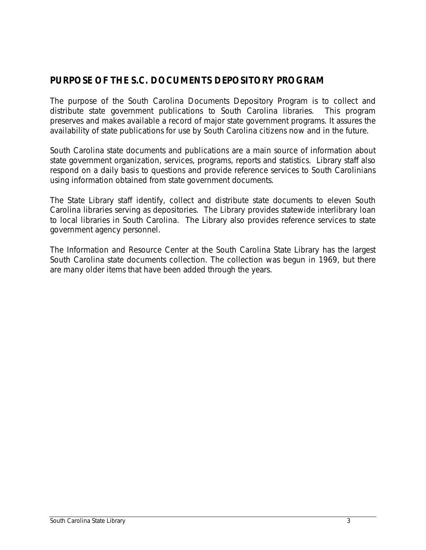# **PURPOSE OF THE S.C. DOCUMENTS DEPOSITORY PROGRAM**

The purpose of the South Carolina Documents Depository Program is to collect and distribute state government publications to South Carolina libraries. This program preserves and makes available a record of major state government programs. It assures the availability of state publications for use by South Carolina citizens now and in the future.

South Carolina state documents and publications are a main source of information about state government organization, services, programs, reports and statistics. Library staff also respond on a daily basis to questions and provide reference services to South Carolinians using information obtained from state government documents.

The State Library staff identify, collect and distribute state documents to eleven South Carolina libraries serving as depositories. The Library provides statewide interlibrary loan to local libraries in South Carolina. The Library also provides reference services to state government agency personnel.

The Information and Resource Center at the South Carolina State Library has the largest South Carolina state documents collection. The collection was begun in 1969, but there are many older items that have been added through the years.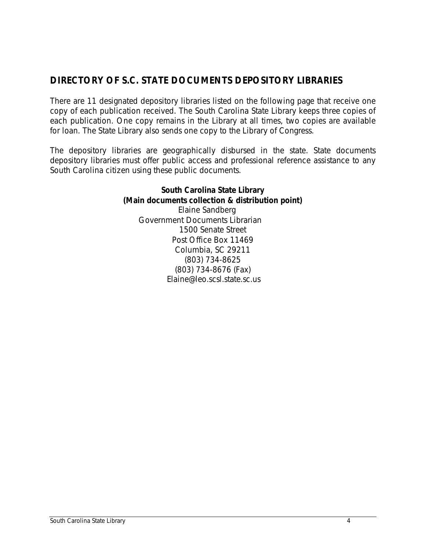# **DIRECTORY OF S.C. STATE DOCUMENTS DEPOSITORY LIBRARIES**

There are 11 designated depository libraries listed on the following page that receive one copy of each publication received. The South Carolina State Library keeps three copies of each publication. One copy remains in the Library at all times, two copies are available for loan. The State Library also sends one copy to the Library of Congress.

The depository libraries are geographically disbursed in the state. State documents depository libraries must offer public access and professional reference assistance to any South Carolina citizen using these public documents.

> **South Carolina State Library (Main documents collection & distribution point)** Elaine Sandberg Government Documents Librarian 1500 Senate Street Post Office Box 11469 Columbia, SC 29211 (803) 734-8625 (803) 734-8676 (Fax) Elaine@leo.scsl.state.sc.us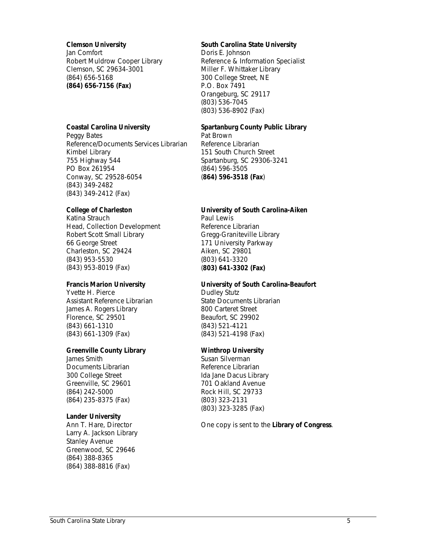#### **Clemson University**

Jan Comfort Robert Muldrow Cooper Library Clemson, SC 29634-3001 (864) 656-5168 **(864) 656-7156 (Fax)**

#### **Coastal Carolina University**

Peggy Bates Reference/Documents Services Librarian Kimbel Library 755 Highway 544 PO Box 261954 Conway, SC 29528-6054 (843) 349-2482 (843) 349-2412 (Fax)

#### **College of Charleston**

Katina Strauch Head, Collection Development Robert Scott Small Library 66 George Street Charleston, SC 29424 (843) 953-5530 (843) 953-8019 (Fax)

#### **Francis Marion University**

Yvette H. Pierce Assistant Reference Librarian James A. Rogers Library Florence, SC 29501 (843) 661-1310 (843) 661-1309 (Fax)

#### **Greenville County Library**

James Smith Documents Librarian 300 College Street Greenville, SC 29601 (864) 242-5000 (864) 235-8375 (Fax)

#### **Lander University**

Ann T. Hare, Director Larry A. Jackson Library Stanley Avenue Greenwood, SC 29646 (864) 388-8365 (864) 388-8816 (Fax)

#### **South Carolina State University**

Doris E. Johnson Reference & Information Specialist Miller F. Whittaker Library 300 College Street, NE P.O. Box 7491 Orangeburg, SC 29117 (803) 536-7045 (803) 536-8902 (Fax)

## **Spartanburg County Public Library**

Pat Brown Reference Librarian 151 South Church Street Spartanburg, SC 29306-3241 (864) 596-3505 (**864) 596-3518 (Fax**)

#### **University of South Carolina-Aiken**

Paul Lewis Reference Librarian Gregg-Graniteville Library 171 University Parkway Aiken, SC 29801 (803) 641-3320 (**803) 641-3302 (Fax)**

#### **University of South Carolina-Beaufort**

Dudley Stutz State Documents Librarian 800 Carteret Street Beaufort, SC 29902 (843) 521-4121 (843) 521-4198 (Fax)

#### **Winthrop University**

Susan Silverman Reference Librarian Ida Jane Dacus Library 701 Oakland Avenue Rock Hill, SC 29733 (803) 323-2131 (803) 323-3285 (Fax)

One copy is sent to the **Library of Congress**.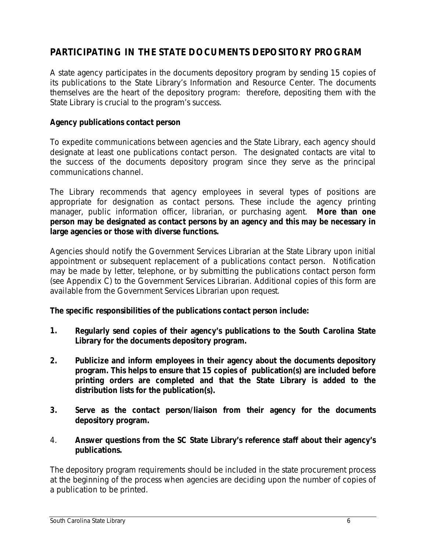# **PARTICIPATING IN THE STATE DOCUMENTS DEPOSITORY PROGRAM**

A state agency participates in the documents depository program by sending 15 copies of its publications to the State Library's Information and Resource Center. The documents themselves are the heart of the depository program: therefore, depositing them with the State Library is crucial to the program's success.

### **Agency publications contact person**

To expedite communications between agencies and the State Library, each agency should designate at least one publications contact person. The designated contacts are vital to the success of the documents depository program since they serve as the principal communications channel.

The Library recommends that agency employees in several types of positions are appropriate for designation as contact persons. These include the agency printing manager, public information officer, librarian, or purchasing agent. **More than one person may be designated as contact persons by an agency and this may be necessary in large agencies or those with diverse functions.**

Agencies should notify the Government Services Librarian at the State Library upon initial appointment or subsequent replacement of a publications contact person. Notification may be made by letter, telephone, or by submitting the publications contact person form (see Appendix C) to the Government Services Librarian. Additional copies of this form are available from the Government Services Librarian upon request.

**The specific responsibilities of the publications contact person include:**

- **1. Regularly send copies of their agency's publications to the South Carolina State Library for the documents depository program.**
- **2. Publicize and inform employees in their agency about the documents depository program. This helps to ensure that 15 copies of publication(s) are included before printing orders are completed and that the State Library is added to the distribution lists for the publication(s).**
- **3. Serve as the contact person/liaison from their agency for the documents depository program.**
- 4. **Answer questions from the SC State Library's reference staff about their agency's publications.**

The depository program requirements should be included in the state procurement process at the beginning of the process when agencies are deciding upon the number of copies of a publication to be printed.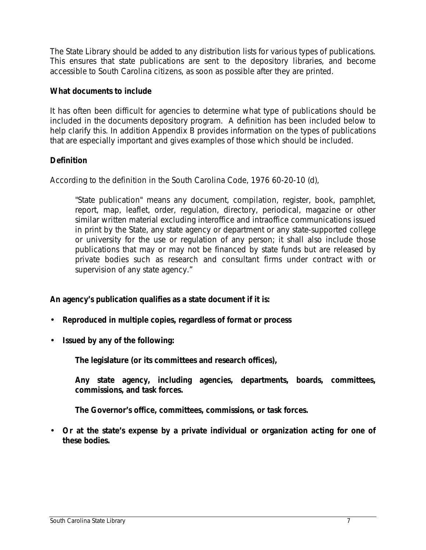The State Library should be added to any distribution lists for various types of publications. This ensures that state publications are sent to the depository libraries, and become accessible to South Carolina citizens, as soon as possible after they are printed.

### **What documents to include**

It has often been difficult for agencies to determine what type of publications should be included in the documents depository program. A definition has been included below to help clarify this. In addition Appendix B provides information on the types of publications that are especially important and gives examples of those which should be included.

## **Definition**

According to the definition in the South Carolina Code, 1976 60-20-10 (d),

"State publication" means any document, compilation, register, book, pamphlet, report, map, leaflet, order, regulation, directory, periodical, magazine or other similar written material excluding interoffice and intraoffice communications issued in print by the State, any state agency or department or any state-supported college or university for the use or regulation of any person; it shall also include those publications that may or may not be financed by state funds but are released by private bodies such as research and consultant firms under contract with or supervision of any state agency."

**An agency's publication qualifies as a state document if it is:**

- **Reproduced in multiple copies, regardless of format or process**
- **Issued by any of the following:**

**The legislature (or its committees and research offices),**

**Any state agency, including agencies, departments, boards, committees, commissions, and task forces.**

**The Governor's office, committees, commissions, or task forces.**

• **Or at the state's expense by a private individual or organization acting for one of these bodies.**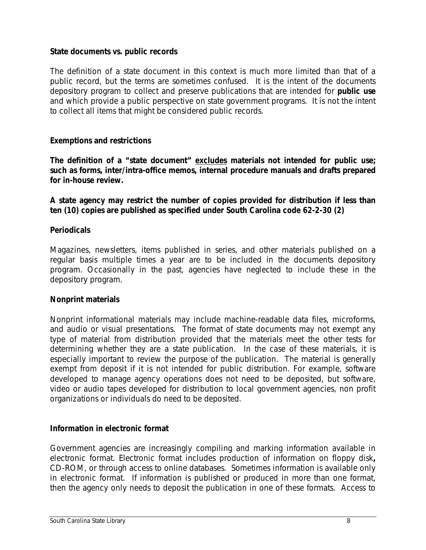### **State documents vs. public records**

The definition of a state document in this context is much more limited than that of a public record, but the terms are sometimes confused. It is the intent of the documents depository program to collect and preserve publications that are intended for **public use** and which provide a public perspective on state government programs. It is not the intent to collect all items that might be considered public records.

## **Exemptions and restrictions**

**The definition of a "state document" excludes materials not intended for public use; such as forms, inter/intra-office memos, internal procedure manuals and drafts prepared for in-house review.**

**A state agency may restrict the number of copies provided for distribution if less than ten (10) copies are published as specified under South Carolina code 62-2-30 (2)**

#### **Periodicals**

Magazines, newsletters, items published in series, and other materials published on a regular basis multiple times a year are to be included in the documents depository program. Occasionally in the past, agencies have neglected to include these in the depository program.

## **Nonprint materials**

Nonprint informational materials may include machine-readable data files, microforms, and audio or visual presentations. The format of state documents may not exempt any type of material from distribution provided that the materials meet the other tests for determining whether they are a state publication. In the case of these materials, it is especially important to review the purpose of the publication. The material is generally exempt from deposit if it is not intended for public distribution. For example, software developed to manage agency operations does not need to be deposited, but software, video or audio tapes developed for distribution to local government agencies, non profit organizations or individuals do need to be deposited.

#### **Information in electronic format**

Government agencies are increasingly compiling and marking information available in electronic format. Electronic format includes production of information on floppy disk**,** CD-ROM, or through access to online databases. Sometimes information is available only in electronic format. If information is published or produced in more than one format, then the agency only needs to deposit the publication in one of these formats. Access to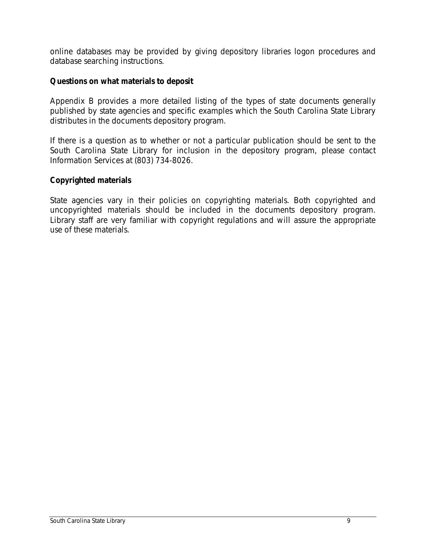online databases may be provided by giving depository libraries logon procedures and database searching instructions.

### **Questions on what materials to deposit**

Appendix B provides a more detailed listing of the types of state documents generally published by state agencies and specific examples which the South Carolina State Library distributes in the documents depository program.

If there is a question as to whether or not a particular publication should be sent to the South Carolina State Library for inclusion in the depository program, please contact Information Services at (803) 734-8026.

### **Copyrighted materials**

State agencies vary in their policies on copyrighting materials. Both copyrighted and uncopyrighted materials should be included in the documents depository program. Library staff are very familiar with copyright regulations and will assure the appropriate use of these materials.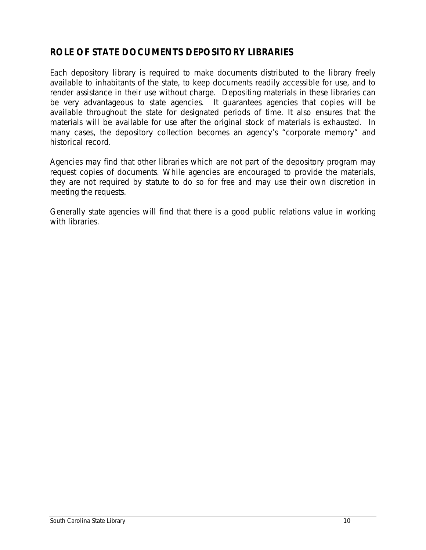# **ROLE OF STATE DOCUMENTS DEPOSITORY LIBRARIES**

Each depository library is required to make documents distributed to the library freely available to inhabitants of the state, to keep documents readily accessible for use, and to render assistance in their use without charge. Depositing materials in these libraries can be very advantageous to state agencies. It guarantees agencies that copies will be available throughout the state for designated periods of time. It also ensures that the materials will be available for use after the original stock of materials is exhausted. In many cases, the depository collection becomes an agency's "corporate memory" and historical record.

Agencies may find that other libraries which are not part of the depository program may request copies of documents. While agencies are encouraged to provide the materials, they are not required by statute to do so for free and may use their own discretion in meeting the requests.

Generally state agencies will find that there is a good public relations value in working with libraries.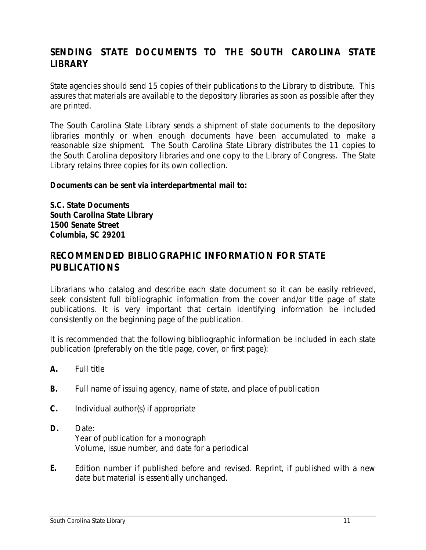# **SENDING STATE DOCUMENTS TO THE SOUTH CAROLINA STATE LIBRARY**

State agencies should send 15 copies of their publications to the Library to distribute. This assures that materials are available to the depository libraries as soon as possible after they are printed.

The South Carolina State Library sends a shipment of state documents to the depository libraries monthly or when enough documents have been accumulated to make a reasonable size shipment. The South Carolina State Library distributes the 11 copies to the South Carolina depository libraries and one copy to the Library of Congress. The State Library retains three copies for its own collection.

### **Documents can be sent via interdepartmental mail to:**

**S.C. State Documents South Carolina State Library 1500 Senate Street Columbia, SC 29201**

## **RECOMMENDED BIBLIOGRAPHIC INFORMATION FOR STATE PUBLICATIONS**

Librarians who catalog and describe each state document so it can be easily retrieved, seek consistent full bibliographic information from the cover and/or title page of state publications. It is very important that certain identifying information be included consistently on the beginning page of the publication.

It is recommended that the following bibliographic information be included in each state publication (preferably on the title page, cover, or first page):

- **A.** Full title
- **B.** Full name of issuing agency, name of state, and place of publication
- **C.** Individual author(s) if appropriate
- **D.** Date: Year of publication for a monograph Volume, issue number, and date for a periodical
- **E.** Edition number if published before and revised. Reprint, if published with a new date but material is essentially unchanged.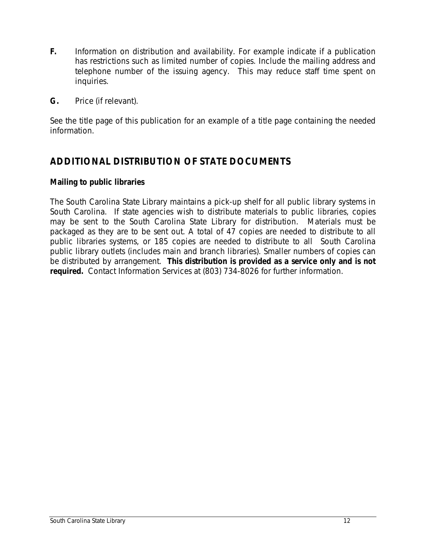- **F.** Information on distribution and availability. For example indicate if a publication has restrictions such as limited number of copies. Include the mailing address and telephone number of the issuing agency. This may reduce staff time spent on inquiries.
- **G.** Price (if relevant).

See the title page of this publication for an example of a title page containing the needed information.

# **ADDITIONAL DISTRIBUTION OF STATE DOCUMENTS**

### **Mailing to public libraries**

The South Carolina State Library maintains a pick-up shelf for all public library systems in South Carolina. If state agencies wish to distribute materials to public libraries, copies may be sent to the South Carolina State Library for distribution. Materials must be packaged as they are to be sent out. A total of 47 copies are needed to distribute to all public libraries systems, or 185 copies are needed to distribute to all South Carolina public library outlets (includes main and branch libraries). Smaller numbers of copies can be distributed by arrangement. **This distribution is provided as a service only and is not required.** Contact Information Services at (803) 734-8026 for further information.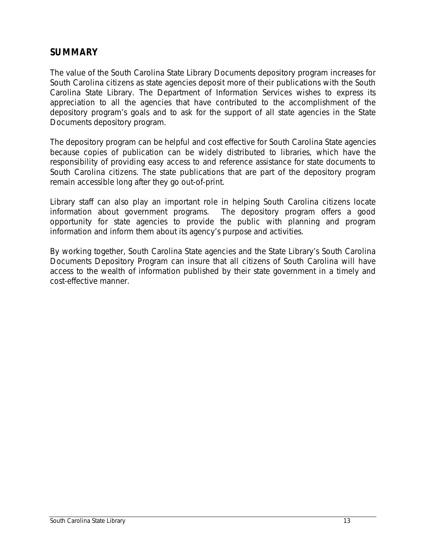## **SUMMARY**

The value of the South Carolina State Library Documents depository program increases for South Carolina citizens as state agencies deposit more of their publications with the South Carolina State Library. The Department of Information Services wishes to express its appreciation to all the agencies that have contributed to the accomplishment of the depository program's goals and to ask for the support of all state agencies in the State Documents depository program.

The depository program can be helpful and cost effective for South Carolina State agencies because copies of publication can be widely distributed to libraries, which have the responsibility of providing easy access to and reference assistance for state documents to South Carolina citizens. The state publications that are part of the depository program remain accessible long after they go out-of-print.

Library staff can also play an important role in helping South Carolina citizens locate information about government programs. The depository program offers a good opportunity for state agencies to provide the public with planning and program information and inform them about its agency's purpose and activities.

By working together, South Carolina State agencies and the State Library's South Carolina Documents Depository Program can insure that all citizens of South Carolina will have access to the wealth of information published by their state government in a timely and cost-effective manner.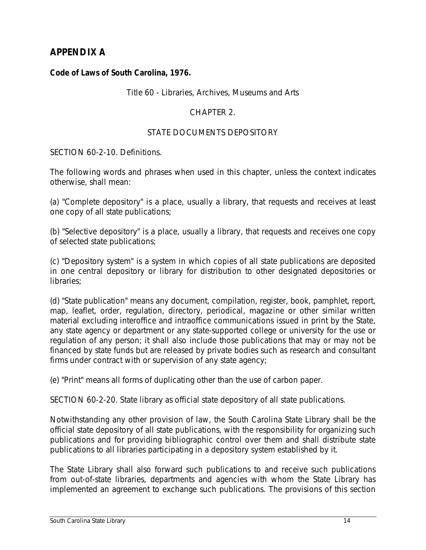# **APPENDIX A**

### **Code of Laws of South Carolina, 1976.**

#### Title 60 - Libraries, Archives, Museums and Arts

### CHAPTER 2.

#### STATE DOCUMENTS DEPOSITORY

SECTION 60-2-10. Definitions.

The following words and phrases when used in this chapter, unless the context indicates otherwise, shall mean:

(a) "Complete depository" is a place, usually a library, that requests and receives at least one copy of all state publications;

(b) "Selective depository" is a place, usually a library, that requests and receives one copy of selected state publications;

(c) "Depository system" is a system in which copies of all state publications are deposited in one central depository or library for distribution to other designated depositories or libraries;

(d) "State publication" means any document, compilation, register, book, pamphlet, report, map, leaflet, order, regulation, directory, periodical, magazine or other similar written material excluding interoffice and intraoffice communications issued in print by the State, any state agency or department or any state-supported college or university for the use or regulation of any person; it shall also include those publications that may or may not be financed by state funds but are released by private bodies such as research and consultant firms under contract with or supervision of any state agency;

(e) "Print" means all forms of duplicating other than the use of carbon paper.

SECTION 60-2-20. State library as official state depository of all state publications.

Notwithstanding any other provision of law, the South Carolina State Library shall be the official state depository of all state publications, with the responsibility for organizing such publications and for providing bibliographic control over them and shall distribute state publications to all libraries participating in a depository system established by it.

The State Library shall also forward such publications to and receive such publications from out-of-state libraries, departments and agencies with whom the State Library has implemented an agreement to exchange such publications. The provisions of this section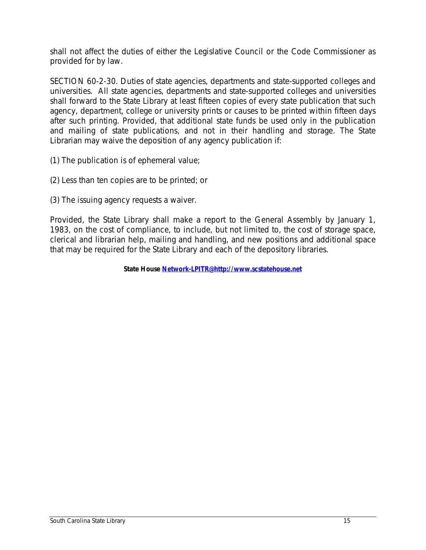shall not affect the duties of either the Legislative Council or the Code Commissioner as provided for by law.

SECTION 60-2-30. Duties of state agencies, departments and state-supported colleges and universities. All state agencies, departments and state-supported colleges and universities shall forward to the State Library at least fifteen copies of every state publication that such agency, department, college or university prints or causes to be printed within fifteen days after such printing. Provided, that additional state funds be used only in the publication and mailing of state publications, and not in their handling and storage. The State Librarian may waive the deposition of any agency publication if:

- (1) The publication is of ephemeral value;
- (2) Less than ten copies are to be printed; or
- (3) The issuing agency requests a waiver.

Provided, the State Library shall make a report to the General Assembly by January 1, 1983, on the cost of compliance, to include, but not limited to, the cost of storage space, clerical and librarian help, mailing and handling, and new positions and additional space that may be required for the State Library and each of the depository libraries.

**State House Network-LPITR@http://www.scstatehouse.net**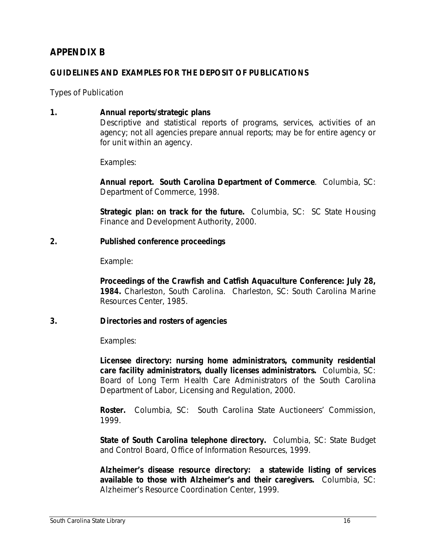# **APPENDIX B**

#### **GUIDELINES AND EXAMPLES FOR THE DEPOSIT OF PUBLICATIONS**

Types of Publication

**1. Annual reports/strategic plans** Descriptive and statistical reports of programs, services, activities of an agency; not all agencies prepare annual reports; may be for entire agency or for unit within an agency.

Examples:

**Annual report. South Carolina Department of Commerce**. Columbia, SC: Department of Commerce, 1998.

**Strategic plan: on track for the future.** Columbia, SC: SC State Housing Finance and Development Authority, 2000.

#### **2. Published conference proceedings**

Example:

**Proceedings of the Crawfish and Catfish Aquaculture Conference: July 28, 1984.** Charleston, South Carolina. Charleston, SC: South Carolina Marine Resources Center, 1985.

#### **3. Directories and rosters of agencies**

Examples:

**Licensee directory: nursing home administrators, community residential care facility administrators, dually licenses administrators.** Columbia, SC: Board of Long Term Health Care Administrators of the South Carolina Department of Labor, Licensing and Regulation, 2000.

**Roster.** Columbia, SC: South Carolina State Auctioneers' Commission, 1999.

**State of South Carolina telephone directory.** Columbia, SC: State Budget and Control Board, Office of Information Resources, 1999.

**Alzheimer's disease resource directory: a statewide listing of services available to those with Alzheimer's and their caregivers.** Columbia, SC: Alzheimer's Resource Coordination Center, 1999.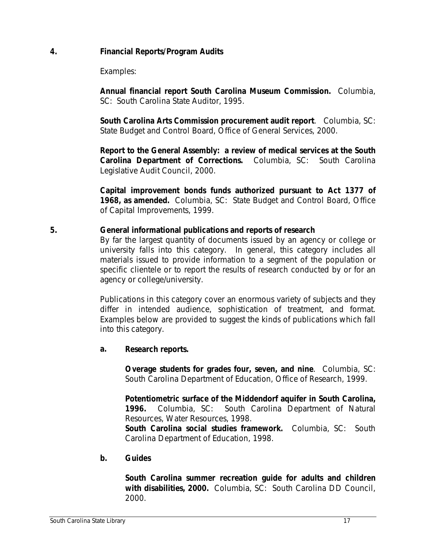## **4. Financial Reports/Program Audits**

Examples:

**Annual financial report South Carolina Museum Commission.** Columbia, SC: South Carolina State Auditor, 1995.

**South Carolina Arts Commission procurement audit report**. Columbia, SC: State Budget and Control Board, Office of General Services, 2000.

**Report to the General Assembly: a review of medical services at the South Carolina Department of Corrections.** Columbia, SC: South Carolina Legislative Audit Council, 2000.

**Capital improvement bonds funds authorized pursuant to Act 1377 of 1968, as amended.** Columbia, SC: State Budget and Control Board, Office of Capital Improvements, 1999.

### **5. General informational publications and reports of research**

By far the largest quantity of documents issued by an agency or college or university falls into this category. In general, this category includes all materials issued to provide information to a segment of the population or specific clientele or to report the results of research conducted by or for an agency or college/university.

Publications in this category cover an enormous variety of subjects and they differ in intended audience, sophistication of treatment, and format. Examples below are provided to suggest the kinds of publications which fall into this category.

## **a. Research reports.**

**Overage students for grades four, seven, and nine**. Columbia, SC: South Carolina Department of Education, Office of Research, 1999.

**Potentiometric surface of the Middendorf aquifer in South Carolina, 1996.** Columbia, SC: South Carolina Department of Natural Resources, Water Resources, 1998.

**South Carolina social studies framework.** Columbia, SC: South Carolina Department of Education, 1998.

## **b. Guides**

**South Carolina summer recreation guide for adults and children with disabilities, 2000.** Columbia, SC: South Carolina DD Council, 2000.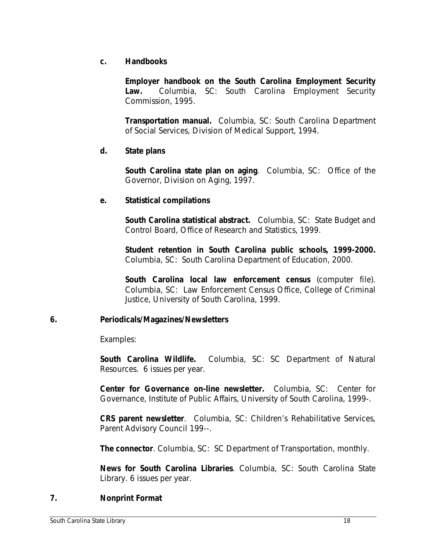### **c. Handbooks**

**Employer handbook on the South Carolina Employment Security Law.** Columbia, SC: South Carolina Employment Security Commission, 1995.

**Transportation manual.** Columbia, SC: South Carolina Department of Social Services, Division of Medical Support, 1994.

### **d. State plans**

**South Carolina state plan on aging**. Columbia, SC: Office of the Governor, Division on Aging, 1997.

### **e. Statistical compilations**

**South Carolina statistical abstract.** Columbia, SC: State Budget and Control Board, Office of Research and Statistics, 1999.

**Student retention in South Carolina public schools, 1999-2000.** Columbia, SC: South Carolina Department of Education, 2000.

**South Carolina local law enforcement census** (computer file). Columbia, SC: Law Enforcement Census Office, College of Criminal Justice, University of South Carolina, 1999.

## **6. Periodicals/Magazines/Newsletters**

Examples:

**South Carolina Wildlife.** Columbia, SC: SC Department of Natural Resources. 6 issues per year.

**Center for Governance on-line newsletter.** Columbia, SC: Center for Governance, Institute of Public Affairs, University of South Carolina, 1999-.

**CRS parent newsletter**. Columbia, SC: Children's Rehabilitative Services, Parent Advisory Council 199--.

**The connector**. Columbia, SC: SC Department of Transportation, monthly.

**News for South Carolina Libraries**. Columbia, SC: South Carolina State Library. 6 issues per year.

## **7. Nonprint Format**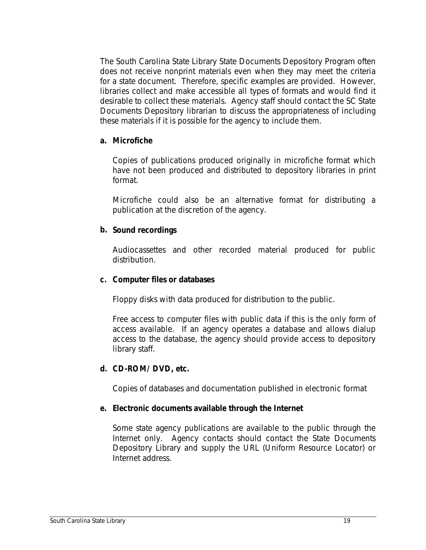The South Carolina State Library State Documents Depository Program often does not receive nonprint materials even when they may meet the criteria for a state document. Therefore, specific examples are provided. However, libraries collect and make accessible all types of formats and would find it desirable to collect these materials. Agency staff should contact the SC State Documents Depository librarian to discuss the appropriateness of including these materials if it is possible for the agency to include them.

#### **a. Microfiche**

Copies of publications produced originally in microfiche format which have not been produced and distributed to depository libraries in print format.

Microfiche could also be an alternative format for distributing a publication at the discretion of the agency.

### **b. Sound recordings**

Audiocassettes and other recorded material produced for public distribution.

#### **c. Computer files or databases**

Floppy disks with data produced for distribution to the public.

Free access to computer files with public data if this is the only form of access available. If an agency operates a database and allows dialup access to the database, the agency should provide access to depository library staff.

#### **d. CD-ROM/ DVD, etc.**

Copies of databases and documentation published in electronic format

## **e. Electronic documents available through the Internet**

Some state agency publications are available to the public through the Internet only. Agency contacts should contact the State Documents Depository Library and supply the URL (Uniform Resource Locator) or Internet address.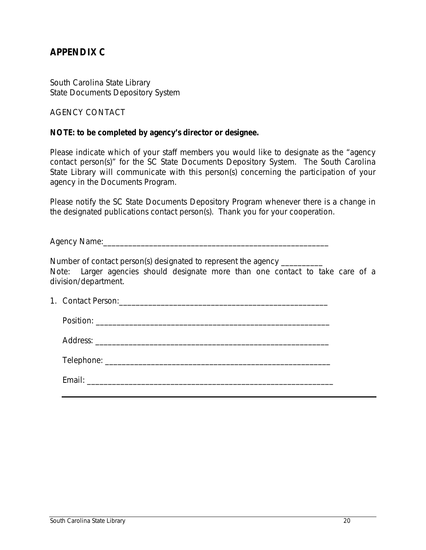# **APPENDIX C**

South Carolina State Library State Documents Depository System

AGENCY CONTACT

#### **NOTE: to be completed by agency's director or designee.**

Please indicate which of your staff members you would like to designate as the "agency contact person(s)" for the SC State Documents Depository System. The South Carolina State Library will communicate with this person(s) concerning the participation of your agency in the Documents Program.

Please notify the SC State Documents Depository Program whenever there is a change in the designated publications contact person(s). Thank you for your cooperation.

Agency Name:\_\_\_\_\_\_\_\_\_\_\_\_\_\_\_\_\_\_\_\_\_\_\_\_\_\_\_\_\_\_\_\_\_\_\_\_\_\_\_\_\_\_\_\_\_\_\_\_\_\_\_\_\_\_

Number of contact person(s) designated to represent the agency \_\_\_\_\_\_\_\_\_\_ *Note: Larger agencies should designate more than one contact to take care of a division/department.*